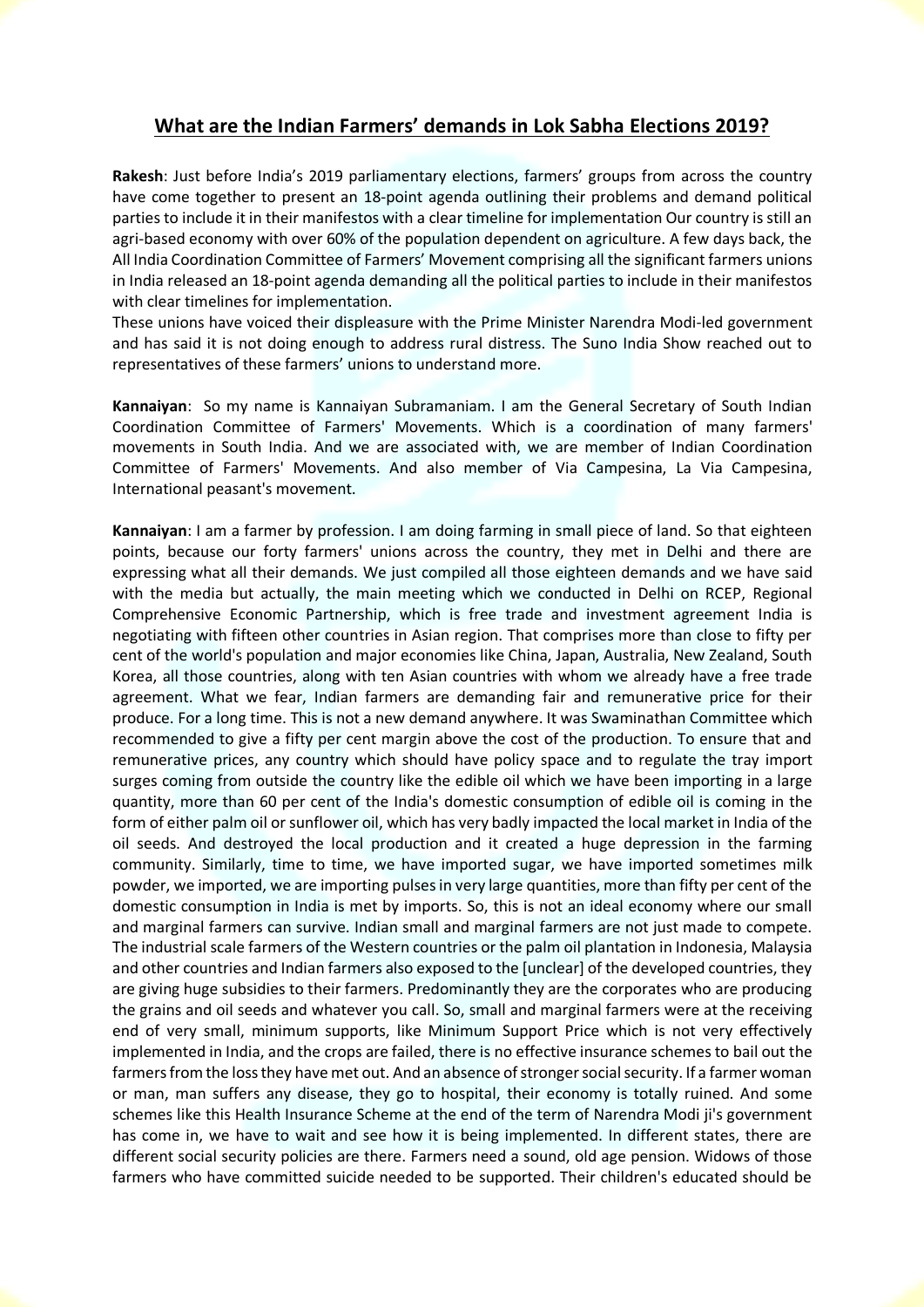## **What are the Indian Farmers' demands in Lok Sabha Elections 2019?**

**Rakesh**: Just before India's 2019 parliamentary elections, farmers' groups from across the country have come together to present an 18-point agenda outlining their problems and demand political parties to include it in their manifestos with a clear timeline for implementation Our country is still an agri-based economy with over 60% of the population dependent on agriculture. A few days back, the All India Coordination Committee of Farmers' Movement comprising all the significant farmers unions in India released an 18-point agenda demanding all the political parties to include in their manifestos with clear timelines for implementation.

These unions have voiced their displeasure with the Prime Minister Narendra Modi-led government and has said it is not doing enough to address rural distress. The Suno India Show reached out to representatives of these farmers' unions to understand more.

**Kannaiyan**: So my name is Kannaiyan Subramaniam. I am the General Secretary of South Indian Coordination Committee of Farmers' Movements. Which is a coordination of many farmers' movements in South India. And we are associated with, we are member of Indian Coordination Committee of Farmers' Movements. And also member of Via Campesina, La Via Campesina, International peasant's movement.

**Kannaiyan**: I am a farmer by profession. I am doing farming in small piece of land. So that eighteen points, because our forty farmers' unions across the country, they met in Delhi and there are expressing what all their demands. We just compiled all those eighteen demands and we have said with the media but actually, the main meeting which we conducted in Delhi on RCEP, Regional Comprehensive Economic Partnership, which is free trade and investment agreement India is negotiating with fifteen other countries in Asian region. That comprises more than close to fifty per cent of the world's population and major economies like China, Japan, Australia, New Zealand, South Korea, all those countries, along with ten Asian countries with whom we already have a free trade agreement. What we fear, Indian farmers are demanding fair and remunerative price for their produce. For a long time. This is not a new demand anywhere. It was Swaminathan Committee which recommended to give a fifty per cent margin above the cost of the production. To ensure that and remunerative prices, any country which should have policy space and to regulate the tray import surges coming from outside the country like the edible oil which we have been importing in a large quantity, more than 60 per cent of the India's domestic consumption of edible oil is coming in the form of either palm oil or sunflower oil, which has very badly impacted the local market in India of the oil seeds. And destroyed the local production and it created a huge depression in the farming community. Similarly, time to time, we have imported sugar, we have imported sometimes milk powder, we imported, we are importing pulses in very large quantities, more than fifty per cent of the domestic consumption in India is met by imports. So, this is not an ideal economy where our small and marginal farmers can survive. Indian small and marginal farmers are not just made to compete. The industrial scale farmers of the Western countries or the palm oil plantation in Indonesia, Malaysia and other countries and Indian farmers also exposed to the [unclear] of the developed countries, they are giving huge subsidies to their farmers. Predominantly they are the corporates who are producing the grains and oil seeds and whatever you call. So, small and marginal farmers were at the receiving end of very small, minimum supports, like Minimum Support Price which is not very effectively implemented in India, and the crops are failed, there is no effective insurance schemes to bail out the farmers from the loss they have met out. And an absence of stronger social security. If a farmer woman or man, man suffers any disease, they go to hospital, their economy is totally ruined. And some schemes like this Health Insurance Scheme at the end of the term of Narendra Modi ji's government has come in, we have to wait and see how it is being implemented. In different states, there are different social security policies are there. Farmers need a sound, old age pension. Widows of those farmers who have committed suicide needed to be supported. Their children's educated should be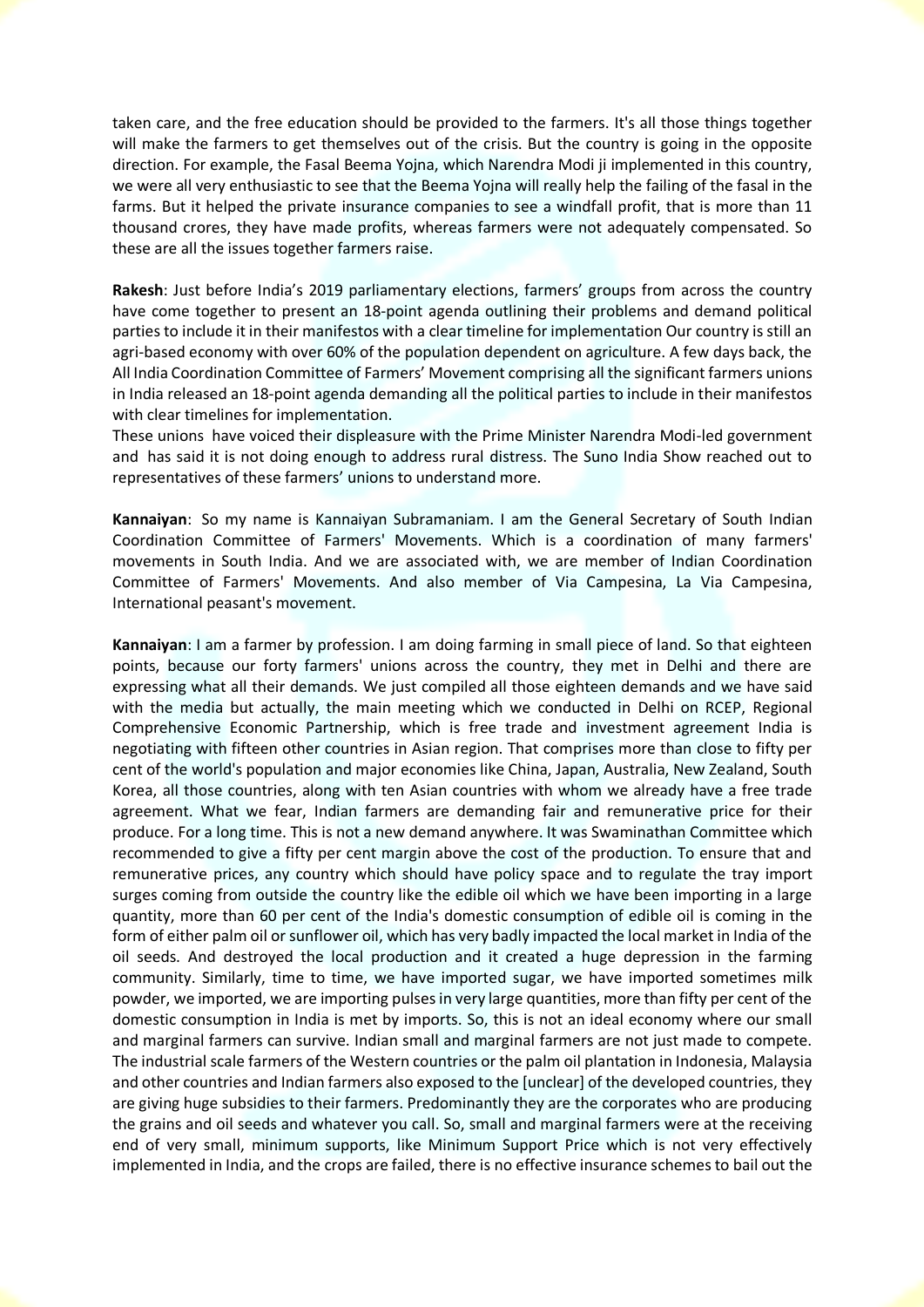taken care, and the free education should be provided to the farmers. It's all those things together will make the farmers to get themselves out of the crisis. But the country is going in the opposite direction. For example, the Fasal Beema Yojna, which Narendra Modi ji implemented in this country, we were all very enthusiastic to see that the Beema Yojna will really help the failing of the fasal in the farms. But it helped the private insurance companies to see a windfall profit, that is more than 11 thousand crores, they have made profits, whereas farmers were not adequately compensated. So these are all the issues together farmers raise.

**Rakesh**: Just before India's 2019 parliamentary elections, farmers' groups from across the country have come together to present an 18-point agenda outlining their problems and demand political parties to include it in their manifestos with a clear timeline for implementation Our country is still an agri-based economy with over 60% of the population dependent on agriculture. A few days back, the All India Coordination Committee of Farmers' Movement comprising all the significant farmers unions in India released an 18-point agenda demanding all the political parties to include in their manifestos with clear timelines for implementation.

These unions have voiced their displeasure with the Prime Minister Narendra Modi-led government and has said it is not doing enough to address rural distress. The Suno India Show reached out to representatives of these farmers' unions to understand more.

**Kannaiyan**: So my name is Kannaiyan Subramaniam. I am the General Secretary of South Indian Coordination Committee of Farmers' Movements. Which is a coordination of many farmers' movements in South India. And we are associated with, we are member of Indian Coordination Committee of Farmers' Movements. And also member of Via Campesina, La Via Campesina, International peasant's movement.

**Kannaiyan**: I am a farmer by profession. I am doing farming in small piece of land. So that eighteen points, because our forty farmers' unions across the country, they met in Delhi and there are expressing what all their demands. We just compiled all those eighteen demands and we have said with the media but actually, the main meeting which we conducted in Delhi on RCEP, Regional Comprehensive Economic Partnership, which is free trade and investment agreement India is negotiating with fifteen other countries in Asian region. That comprises more than close to fifty per cent of the world's population and major economies like China, Japan, Australia, New Zealand, South Korea, all those countries, along with ten Asian countries with whom we already have a free trade agreement. What we fear, Indian farmers are demanding fair and remunerative price for their produce. For a long time. This is not a new demand anywhere. It was Swaminathan Committee which recommended to give a fifty per cent margin above the cost of the production. To ensure that and remunerative prices, any country which should have policy space and to regulate the tray import surges coming from outside the country like the edible oil which we have been importing in a large quantity, more than 60 per cent of the India's domestic consumption of edible oil is coming in the form of either palm oil or sunflower oil, which has very badly impacted the local market in India of the oil seeds. And destroyed the local production and it created a huge depression in the farming community. Similarly, time to time, we have imported sugar, we have imported sometimes milk powder, we imported, we are importing pulses in very large quantities, more than fifty per cent of the domestic consumption in India is met by imports. So, this is not an ideal economy where our small and marginal farmers can survive. Indian small and marginal farmers are not just made to compete. The industrial scale farmers of the Western countries or the palm oil plantation in Indonesia, Malaysia and other countries and Indian farmers also exposed to the [unclear] of the developed countries, they are giving huge subsidies to their farmers. Predominantly they are the corporates who are producing the grains and oil seeds and whatever you call. So, small and marginal farmers were at the receiving end of very small, minimum supports, like Minimum Support Price which is not very effectively implemented in India, and the crops are failed, there is no effective insurance schemes to bail out the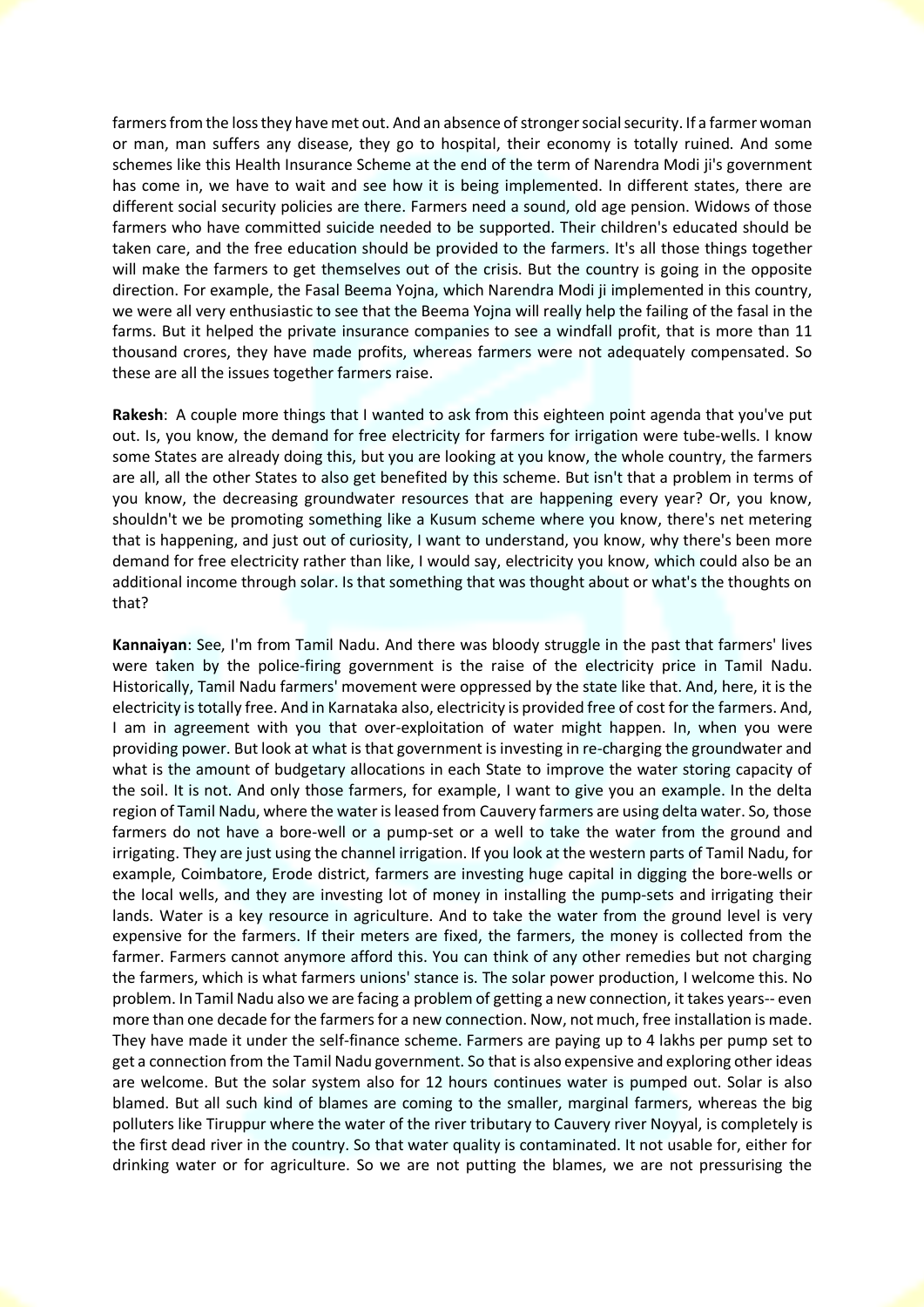farmers from the loss they have met out. And an absence of stronger social security. If a farmer woman or man, man suffers any disease, they go to hospital, their economy is totally ruined. And some schemes like this Health Insurance Scheme at the end of the term of Narendra Modi ji's government has come in, we have to wait and see how it is being implemented. In different states, there are different social security policies are there. Farmers need a sound, old age pension. Widows of those farmers who have committed suicide needed to be supported. Their children's educated should be taken care, and the free education should be provided to the farmers. It's all those things together will make the farmers to get themselves out of the crisis. But the country is going in the opposite direction. For example, the Fasal Beema Yojna, which Narendra Modi ji implemented in this country, we were all very enthusiastic to see that the Beema Yojna will really help the failing of the fasal in the farms. But it helped the private insurance companies to see a windfall profit, that is more than 11 thousand crores, they have made profits, whereas farmers were not adequately compensated. So these are all the issues together farmers raise.

**Rakesh**: A couple more things that I wanted to ask from this eighteen point agenda that you've put out. Is, you know, the demand for free electricity for farmers for irrigation were tube-wells. I know some States are already doing this, but you are looking at you know, the whole country, the farmers are all, all the other States to also get benefited by this scheme. But isn't that a problem in terms of you know, the decreasing groundwater resources that are happening every year? Or, you know, shouldn't we be promoting something like a Kusum scheme where you know, there's net metering that is happening, and just out of curiosity, I want to understand, you know, why there's been more demand for free electricity rather than like, I would say, electricity you know, which could also be an additional income through solar. Is that something that was thought about or what's the thoughts on that?

**Kannaiyan**: See, I'm from Tamil Nadu. And there was bloody struggle in the past that farmers' lives were taken by the police-firing government is the raise of the electricity price in Tamil Nadu. Historically, Tamil Nadu farmers' movement were oppressed by the state like that. And, here, it is the electricity is totally free. And in Karnataka also, electricity is provided free of cost for the farmers. And, I am in agreement with you that over-exploitation of water might happen. In, when you were providing power. But look at what is that government is investing in re-charging the groundwater and what is the amount of budgetary allocations in each State to improve the water storing capacity of the soil. It is not. And only those farmers, for example, I want to give you an example. In the delta region of Tamil Nadu, where the water is leased from Cauvery farmers are using delta water. So, those farmers do not have a bore-well or a pump-set or a well to take the water from the ground and irrigating. They are just using the channel irrigation. If you look at the western parts of Tamil Nadu, for example, Coimbatore, Erode district, farmers are investing huge capital in digging the bore-wells or the local wells, and they are investing lot of money in installing the pump-sets and irrigating their lands. Water is a key resource in agriculture. And to take the water from the ground level is very expensive for the farmers. If their meters are fixed, the farmers, the money is collected from the farmer. Farmers cannot anymore afford this. You can think of any other remedies but not charging the farmers, which is what farmers unions' stance is. The solar power production, I welcome this. No problem. In Tamil Nadu also we are facing a problem of getting a new connection, it takes years-- even more than one decade for the farmers for a new connection. Now, not much, free installation is made. They have made it under the self-finance scheme. Farmers are paying up to 4 lakhs per pump set to get a connection from the Tamil Nadu government. So that is also expensive and exploring other ideas are welcome. But the solar system also for 12 hours continues water is pumped out. Solar is also blamed. But all such kind of blames are coming to the smaller, marginal farmers, whereas the big polluters like Tiruppur where the water of the river tributary to Cauvery river Noyyal, is completely is the first dead river in the country. So that water quality is contaminated. It not usable for, either for drinking water or for agriculture. So we are not putting the blames, we are not pressurising the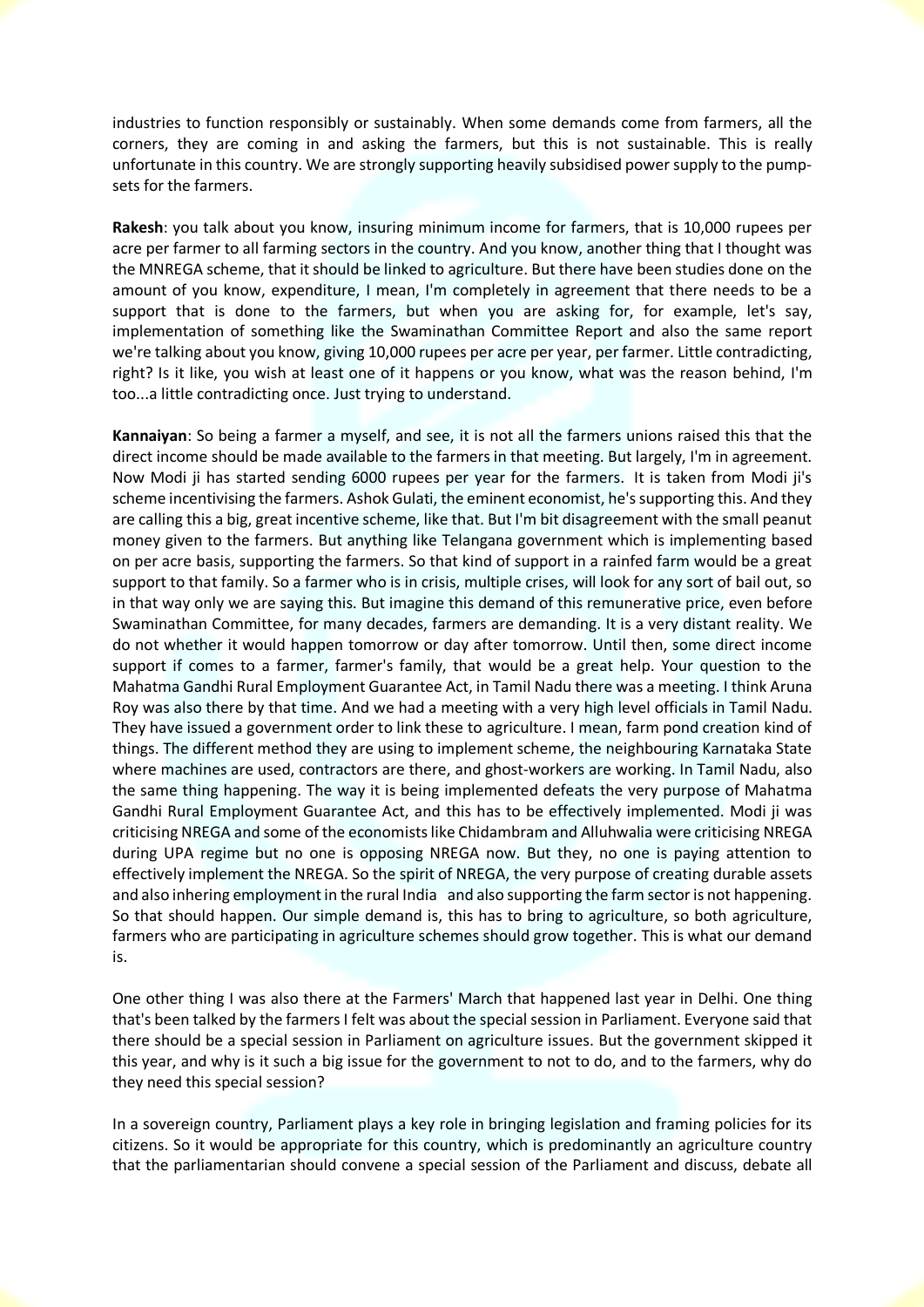industries to function responsibly or sustainably. When some demands come from farmers, all the corners, they are coming in and asking the farmers, but this is not sustainable. This is really unfortunate in this country. We are strongly supporting heavily subsidised power supply to the pumpsets for the farmers.

**Rakesh**: you talk about you know, insuring minimum income for farmers, that is 10,000 rupees per acre per farmer to all farming sectors in the country. And you know, another thing that I thought was the MNREGA scheme, that it should be linked to agriculture. But there have been studies done on the amount of you know, expenditure, I mean, I'm completely in agreement that there needs to be a support that is done to the farmers, but when you are asking for, for example, let's say, implementation of something like the Swaminathan Committee Report and also the same report we're talking about you know, giving 10,000 rupees per acre per year, per farmer. Little contradicting, right? Is it like, you wish at least one of it happens or you know, what was the reason behind, I'm too...a little contradicting once. Just trying to understand.

**Kannaiyan**: So being a farmer a myself, and see, it is not all the farmers unions raised this that the direct income should be made available to the farmers in that meeting. But largely, I'm in agreement. Now Modi ji has started sending 6000 rupees per year for the farmers. It is taken from Modi ji's scheme incentivising the farmers. Ashok Gulati, the eminent economist, he's supporting this. And they are calling this a big, great incentive scheme, like that. But I'm bit disagreement with the small peanut money given to the farmers. But anything like Telangana government which is implementing based on per acre basis, supporting the farmers. So that kind of support in a rainfed farm would be a great support to that family. So a farmer who is in crisis, multiple crises, will look for any sort of bail out, so in that way only we are saying this. But imagine this demand of this remunerative price, even before Swaminathan Committee, for many decades, farmers are demanding. It is a very distant reality. We do not whether it would happen tomorrow or day after tomorrow. Until then, some direct income support if comes to a farmer, farmer's family, that would be a great help. Your question to the Mahatma Gandhi Rural Employment Guarantee Act, in Tamil Nadu there was a meeting. I think Aruna Roy was also there by that time. And we had a meeting with a very high level officials in Tamil Nadu. They have issued a government order to link these to agriculture. I mean, farm pond creation kind of things. The different method they are using to implement scheme, the neighbouring Karnataka State where machines are used, contractors are there, and ghost-workers are working. In Tamil Nadu, also the same thing happening. The way it is being implemented defeats the very purpose of Mahatma Gandhi Rural Employment Guarantee Act, and this has to be effectively implemented. Modi ji was criticising NREGA and some of the economists like Chidambram and Alluhwalia were criticising NREGA during UPA regime but no one is opposing NREGA now. But they, no one is paying attention to effectively implement the NREGA. So the spirit of NREGA, the very purpose of creating durable assets and also inhering employment in the rural India and also supporting the farm sector is not happening. So that should happen. Our simple demand is, this has to bring to agriculture, so both agriculture, farmers who are participating in agriculture schemes should grow together. This is what our demand is.

One other thing I was also there at the Farmers' March that happened last year in Delhi. One thing that's been talked by the farmers I felt was about the special session in Parliament. Everyone said that there should be a special session in Parliament on agriculture issues. But the government skipped it this year, and why is it such a big issue for the government to not to do, and to the farmers, why do they need this special session?

In a sovereign country, Parliament plays a key role in bringing legislation and framing policies for its citizens. So it would be appropriate for this country, which is predominantly an agriculture country that the parliamentarian should convene a special session of the Parliament and discuss, debate all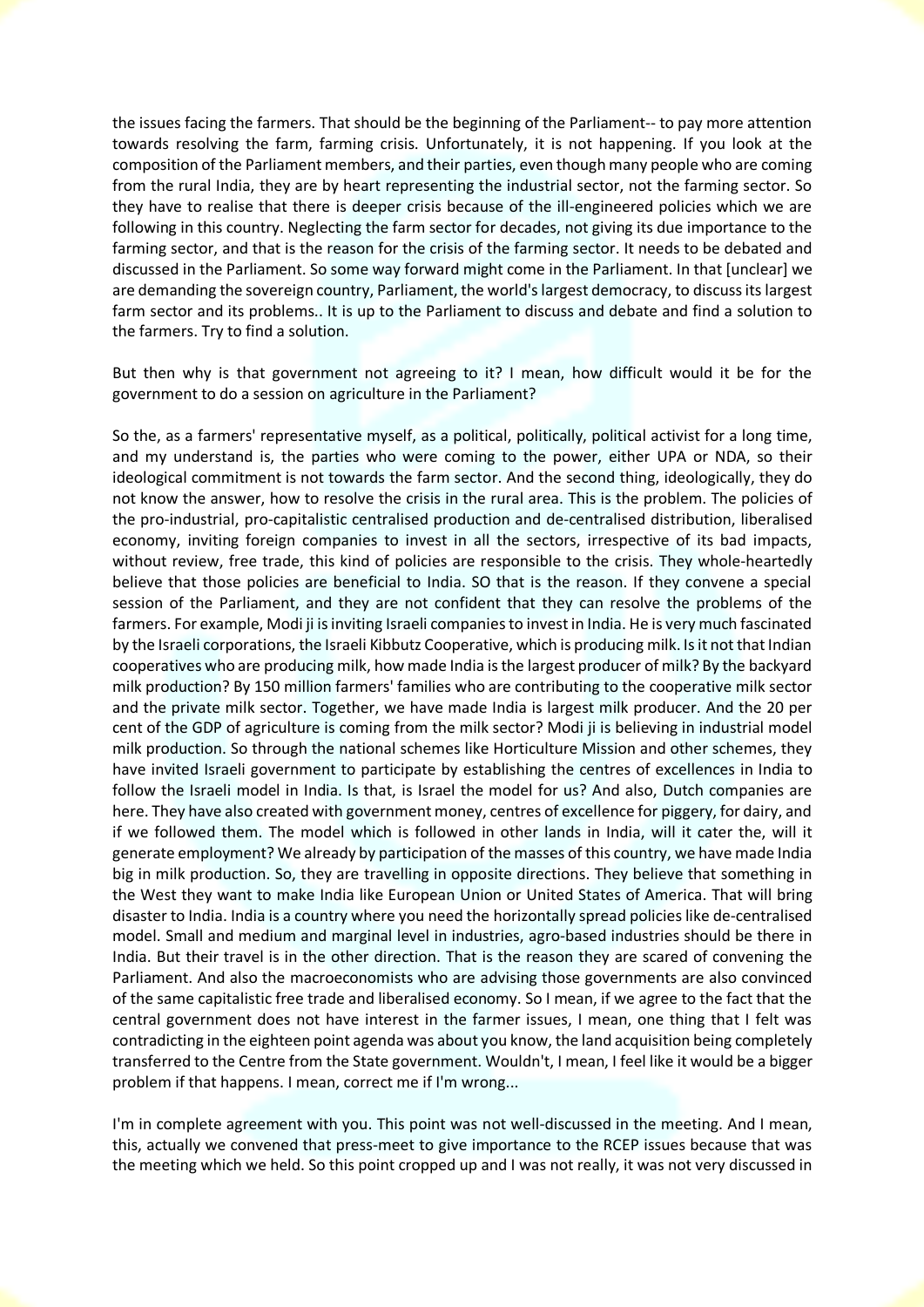the issues facing the farmers. That should be the beginning of the Parliament-- to pay more attention towards resolving the farm, farming crisis. Unfortunately, it is not happening. If you look at the composition of the Parliament members, and their parties, even though many people who are coming from the rural India, they are by heart representing the industrial sector, not the farming sector. So they have to realise that there is deeper crisis because of the ill-engineered policies which we are following in this country. Neglecting the farm sector for decades, not giving its due importance to the farming sector, and that is the reason for the crisis of the farming sector. It needs to be debated and discussed in the Parliament. So some way forward might come in the Parliament. In that [unclear] we are demanding the sovereign country, Parliament, the world's largest democracy, to discuss its largest farm sector and its problems.. It is up to the Parliament to discuss and debate and find a solution to the farmers. Try to find a solution.

But then why is that government not agreeing to it? I mean, how difficult would it be for the government to do a session on agriculture in the Parliament?

So the, as a farmers' representative myself, as a political, politically, political activist for a long time, and my understand is, the parties who were coming to the power, either UPA or NDA, so their ideological commitment is not towards the farm sector. And the second thing, ideologically, they do not know the answer, how to resolve the crisis in the rural area. This is the problem. The policies of the pro-industrial, pro-capitalistic centralised production and de-centralised distribution, liberalised economy, inviting foreign companies to invest in all the sectors, irrespective of its bad impacts, without review, free trade, this kind of policies are responsible to the crisis. They whole-heartedly believe that those policies are beneficial to India. SO that is the reason. If they convene a special session of the Parliament, and they are not confident that they can resolve the problems of the farmers. For example, Modi ji is inviting Israeli companies to invest in India. He is very much fascinated by the Israeli corporations, the Israeli Kibbutz Cooperative, which is producing milk. Is it not that Indian cooperatives who are producing milk, how made India is the largest producer of milk? By the backyard milk production? By 150 million farmers' families who are contributing to the cooperative milk sector and the private milk sector. Together, we have made India is largest milk producer. And the 20 per cent of the GDP of agriculture is coming from the milk sector? Modi ji is believing in industrial model milk production. So through the national schemes like Horticulture Mission and other schemes, they have invited Israeli government to participate by establishing the centres of excellences in India to follow the Israeli model in India. Is that, is Israel the model for us? And also, Dutch companies are here. They have also created with government money, centres of excellence for piggery, for dairy, and if we followed them. The model which is followed in other lands in India, will it cater the, will it generate employment? We already by participation of the masses of this country, we have made India big in milk production. So, they are travelling in opposite directions. They believe that something in the West they want to make India like European Union or United States of America. That will bring disaster to India. India is a country where you need the horizontally spread policies like de-centralised model. Small and medium and marginal level in industries, agro-based industries should be there in India. But their travel is in the other direction. That is the reason they are scared of convening the Parliament. And also the macroeconomists who are advising those governments are also convinced of the same capitalistic free trade and liberalised economy. So I mean, if we agree to the fact that the central government does not have interest in the farmer issues, I mean, one thing that I felt was contradicting in the eighteen point agenda was about you know, the land acquisition being completely transferred to the Centre from the State government. Wouldn't, I mean, I feel like it would be a bigger problem if that happens. I mean, correct me if I'm wrong...

I'm in complete agreement with you. This point was not well-discussed in the meeting. And I mean, this, actually we convened that press-meet to give importance to the RCEP issues because that was the meeting which we held. So this point cropped up and I was not really, it was not very discussed in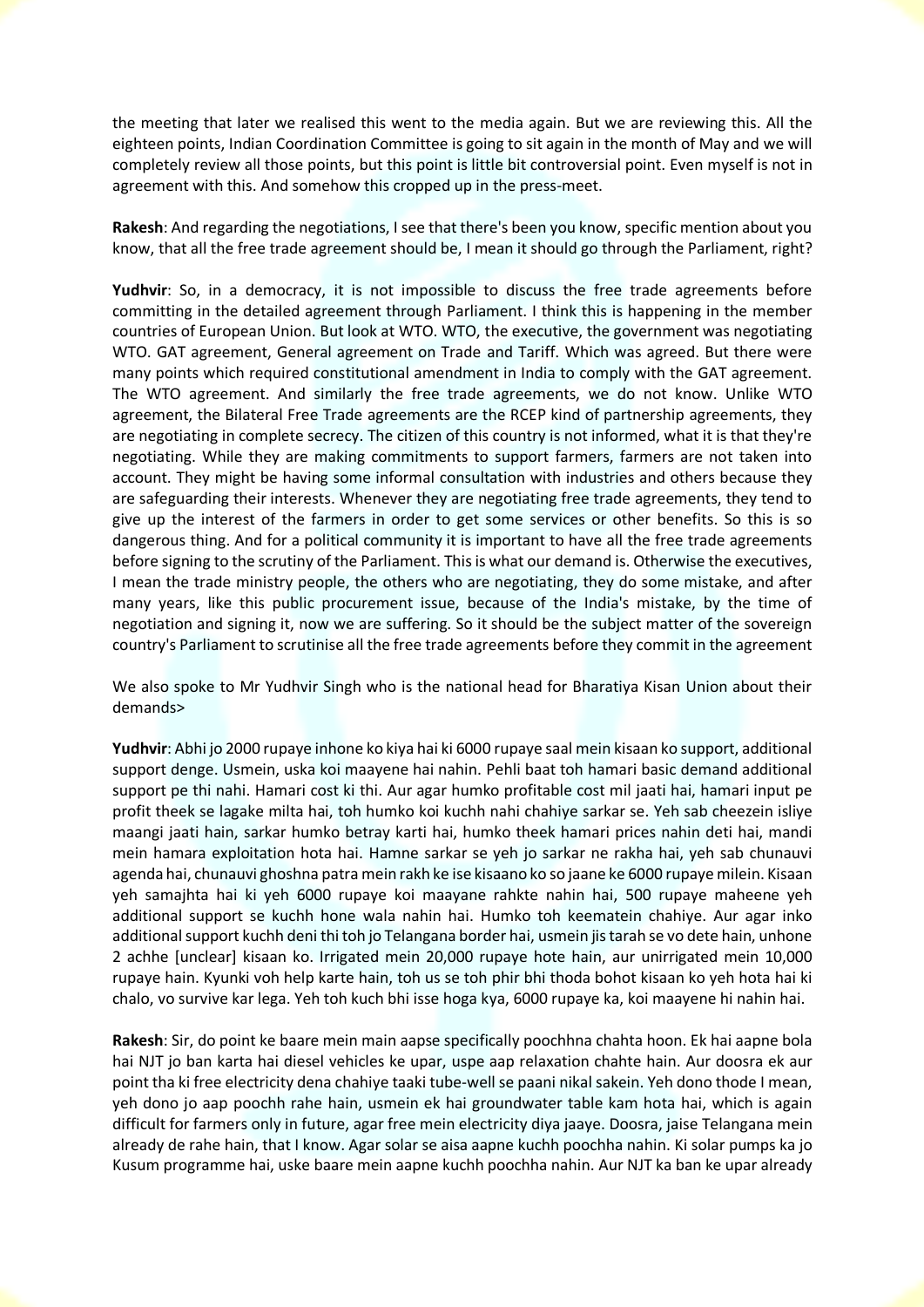the meeting that later we realised this went to the media again. But we are reviewing this. All the eighteen points, Indian Coordination Committee is going to sit again in the month of May and we will completely review all those points, but this point is little bit controversial point. Even myself is not in agreement with this. And somehow this cropped up in the press-meet.

**Rakesh**: And regarding the negotiations, I see that there's been you know, specific mention about you know, that all the free trade agreement should be, I mean it should go through the Parliament, right?

**Yudhvir**: So, in a democracy, it is not impossible to discuss the free trade agreements before committing in the detailed agreement through Parliament. I think this is happening in the member countries of European Union. But look at WTO. WTO, the executive, the government was negotiating WTO. GAT agreement, General agreement on Trade and Tariff. Which was agreed. But there were many points which required constitutional amendment in India to comply with the GAT agreement. The WTO agreement. And similarly the free trade agreements, we do not know. Unlike WTO agreement, the Bilateral Free Trade agreements are the RCEP kind of partnership agreements, they are negotiating in complete secrecy. The citizen of this country is not informed, what it is that they're negotiating. While they are making commitments to support farmers, farmers are not taken into account. They might be having some informal consultation with industries and others because they are safeguarding their interests. Whenever they are negotiating free trade agreements, they tend to give up the interest of the farmers in order to get some services or other benefits. So this is so dangerous thing. And for a political community it is important to have all the free trade agreements before signing to the scrutiny of the Parliament. This is what our demand is. Otherwise the executives, I mean the trade ministry people, the others who are negotiating, they do some mistake, and after many years, like this public procurement issue, because of the India's mistake, by the time of negotiation and signing it, now we are suffering. So it should be the subject matter of the sovereign country's Parliament to scrutinise all the free trade agreements before they commit in the agreement

We also spoke to Mr Yudhvir Singh who is the national head for Bharatiya Kisan Union about their demands>

**Yudhvir**: Abhi jo 2000 rupaye inhone ko kiya hai ki 6000 rupaye saal mein kisaan ko support, additional support denge. Usmein, uska koi maayene hai nahin. Pehli baat toh hamari basic demand additional support pe thi nahi. Hamari cost ki thi. Aur agar humko profitable cost mil jaati hai, hamari input pe profit theek se lagake milta hai, toh humko koi kuchh nahi chahiye sarkar se. Yeh sab cheezein isliye maangi jaati hain, sarkar humko betray karti hai, humko theek hamari prices nahin deti hai, mandi mein hamara exploitation hota hai. Hamne sarkar se yeh jo sarkar ne rakha hai, yeh sab chunauvi agenda hai, chunauvi ghoshna patra mein rakh ke ise kisaano ko so jaane ke 6000 rupaye milein. Kisaan yeh samajhta hai ki yeh 6000 rupaye koi maayane rahkte nahin hai, 500 rupaye maheene yeh additional support se kuchh hone wala nahin hai. Humko toh keematein chahiye. Aur agar inko additional support kuchh deni thi toh jo Telangana border hai, usmein jis tarah se vo dete hain, unhone 2 achhe [unclear] kisaan ko. Irrigated mein 20,000 rupaye hote hain, aur unirrigated mein 10,000 rupaye hain. Kyunki voh help karte hain, toh us se toh phir bhi thoda bohot kisaan ko yeh hota hai ki chalo, vo survive kar lega. Yeh toh kuch bhi isse hoga kya, 6000 rupaye ka, koi maayene hi nahin hai.

**Rakesh**: Sir, do point ke baare mein main aapse specifically poochhna chahta hoon. Ek hai aapne bola hai NJT jo ban karta hai diesel vehicles ke upar, uspe aap relaxation chahte hain. Aur doosra ek aur point tha ki free electricity dena chahiye taaki tube-well se paani nikal sakein. Yeh dono thode I mean, yeh dono jo aap poochh rahe hain, usmein ek hai groundwater table kam hota hai, which is again difficult for farmers only in future, agar free mein electricity diya jaaye. Doosra, jaise Telangana mein already de rahe hain, that I know. Agar solar se aisa aapne kuchh poochha nahin. Ki solar pumps ka jo Kusum programme hai, uske baare mein aapne kuchh poochha nahin. Aur NJT ka ban ke upar already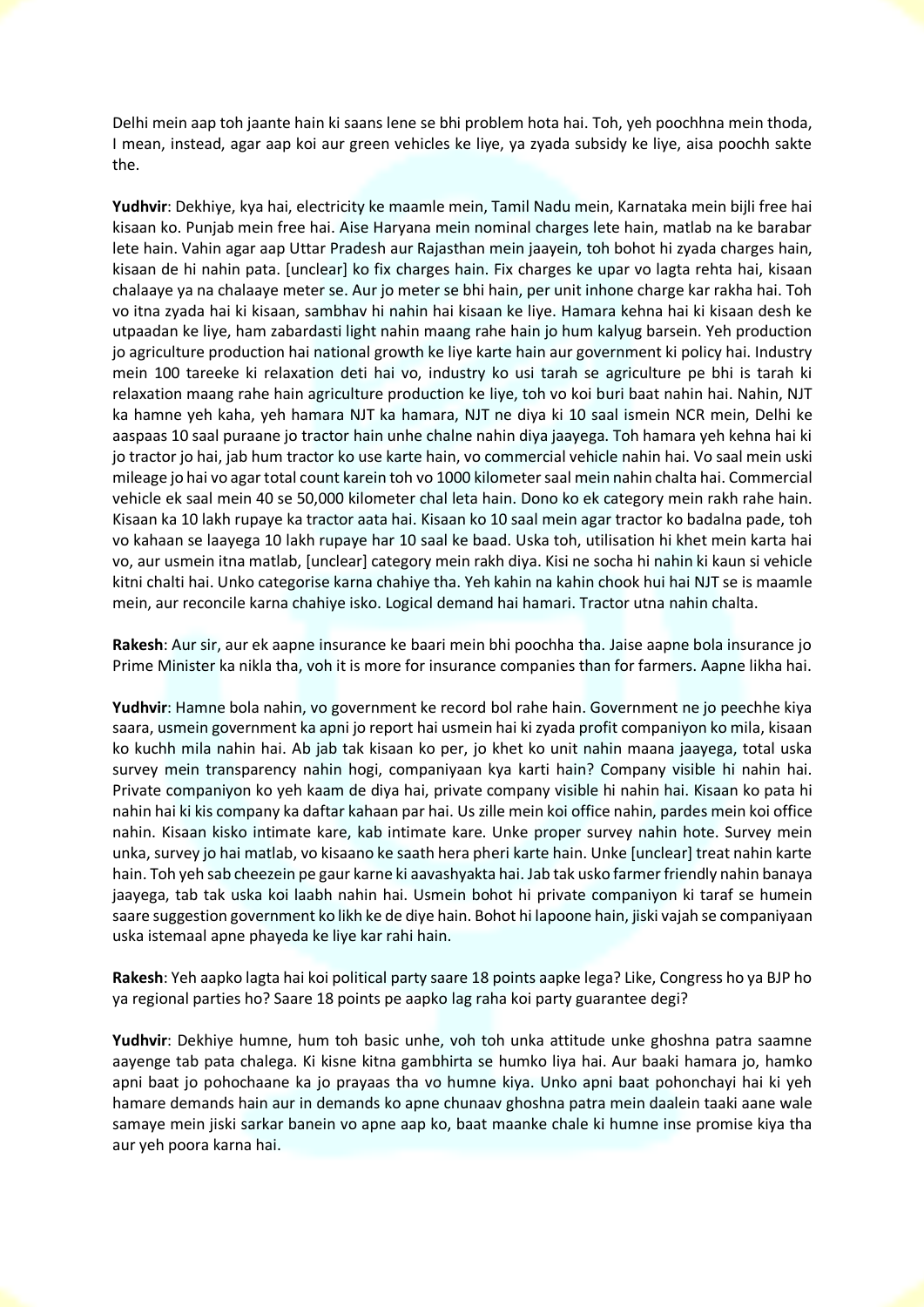Delhi mein aap toh jaante hain ki saans lene se bhi problem hota hai. Toh, yeh poochhna mein thoda, I mean, instead, agar aap koi aur green vehicles ke liye, ya zyada subsidy ke liye, aisa poochh sakte the.

**Yudhvir**: Dekhiye, kya hai, electricity ke maamle mein, Tamil Nadu mein, Karnataka mein bijli free hai kisaan ko. Punjab mein free hai. Aise Haryana mein nominal charges lete hain, matlab na ke barabar lete hain. Vahin agar aap Uttar Pradesh aur Rajasthan mein jaayein, toh bohot hi zyada charges hain, kisaan de hi nahin pata. [unclear] ko fix charges hain. Fix charges ke upar vo lagta rehta hai, kisaan chalaaye ya na chalaaye meter se. Aur jo meter se bhi hain, per unit inhone charge kar rakha hai. Toh vo itna zyada hai ki kisaan, sambhav hi nahin hai kisaan ke liye. Hamara kehna hai ki kisaan desh ke utpaadan ke liye, ham zabardasti light nahin maang rahe hain jo hum kalyug barsein. Yeh production jo agriculture production hai national growth ke liye karte hain aur government ki policy hai. Industry mein 100 tareeke ki relaxation deti hai vo, industry ko usi tarah se agriculture pe bhi is tarah ki relaxation maang rahe hain agriculture production ke liye, toh vo koi buri baat nahin hai. Nahin, NJT ka hamne yeh kaha, yeh hamara NJT ka hamara, NJT ne diya ki 10 saal ismein NCR mein, Delhi ke aaspaas 10 saal puraane jo tractor hain unhe chalne nahin diya jaayega. Toh hamara yeh kehna hai ki jo tractor jo hai, jab hum tractor ko use karte hain, vo commercial vehicle nahin hai. Vo saal mein uski mileage jo hai vo agar total count karein toh vo 1000 kilometer saal mein nahin chalta hai. Commercial vehicle ek saal mein 40 se 50,000 kilometer chal leta hain. Dono ko ek category mein rakh rahe hain. Kisaan ka 10 lakh rupaye ka tractor aata hai. Kisaan ko 10 saal mein agar tractor ko badalna pade, toh vo kahaan se laayega 10 lakh rupaye har 10 saal ke baad. Uska toh, utilisation hi khet mein karta hai vo, aur usmein itna matlab, [unclear] category mein rakh diya. Kisi ne socha hi nahin ki kaun si vehicle kitni chalti hai. Unko categorise karna chahiye tha. Yeh kahin na kahin chook hui hai NJT se is maamle mein, aur reconcile karna chahiye isko. Logical demand hai hamari. Tractor utna nahin chalta.

**Rakesh**: Aur sir, aur ek aapne insurance ke baari mein bhi poochha tha. Jaise aapne bola insurance jo Prime Minister ka nikla tha, voh it is more for insurance companies than for farmers. Aapne likha hai.

**Yudhvir**: Hamne bola nahin, vo government ke record bol rahe hain. Government ne jo peechhe kiya saara, usmein government ka apni jo report hai usmein hai ki zyada profit companiyon ko mila, kisaan ko kuchh mila nahin hai. Ab jab tak kisaan ko per, jo khet ko unit nahin maana jaayega, total uska survey mein transparency nahin hogi, companiyaan kya karti hain? Company visible hi nahin hai. Private companiyon ko yeh kaam de diya hai, private company visible hi nahin hai. Kisaan ko pata hi nahin hai ki kis company ka daftar kahaan par hai. Us zille mein koi office nahin, pardes mein koi office nahin. Kisaan kisko intimate kare, kab intimate kare. Unke proper survey nahin hote. Survey mein unka, survey jo hai matlab, vo kisaano ke saath hera pheri karte hain. Unke [unclear] treat nahin karte hain. Toh yeh sab cheezein pe gaur karne ki aavashyakta hai. Jab tak usko farmer friendly nahin banaya jaayega, tab tak uska koi laabh nahin hai. Usmein bohot hi private companiyon ki taraf se humein saare suggestion government ko likh ke de diye hain. Bohot hi lapoone hain, jiski vajah se companiyaan uska istemaal apne phayeda ke liye kar rahi hain.

**Rakesh**: Yeh aapko lagta hai koi political party saare 18 points aapke lega? Like, Congress ho ya BJP ho ya regional parties ho? Saare 18 points pe aapko lag raha koi party guarantee degi?

**Yudhvir**: Dekhiye humne, hum toh basic unhe, voh toh unka attitude unke ghoshna patra saamne aayenge tab pata chalega. Ki kisne kitna gambhirta se humko liya hai. Aur baaki hamara jo, hamko apni baat jo pohochaane ka jo prayaas tha vo humne kiya. Unko apni baat pohonchayi hai ki yeh hamare demands hain aur in demands ko apne chunaav ghoshna patra mein daalein taaki aane wale samaye mein jiski sarkar banein vo apne aap ko, baat maanke chale ki humne inse promise kiya tha aur yeh poora karna hai.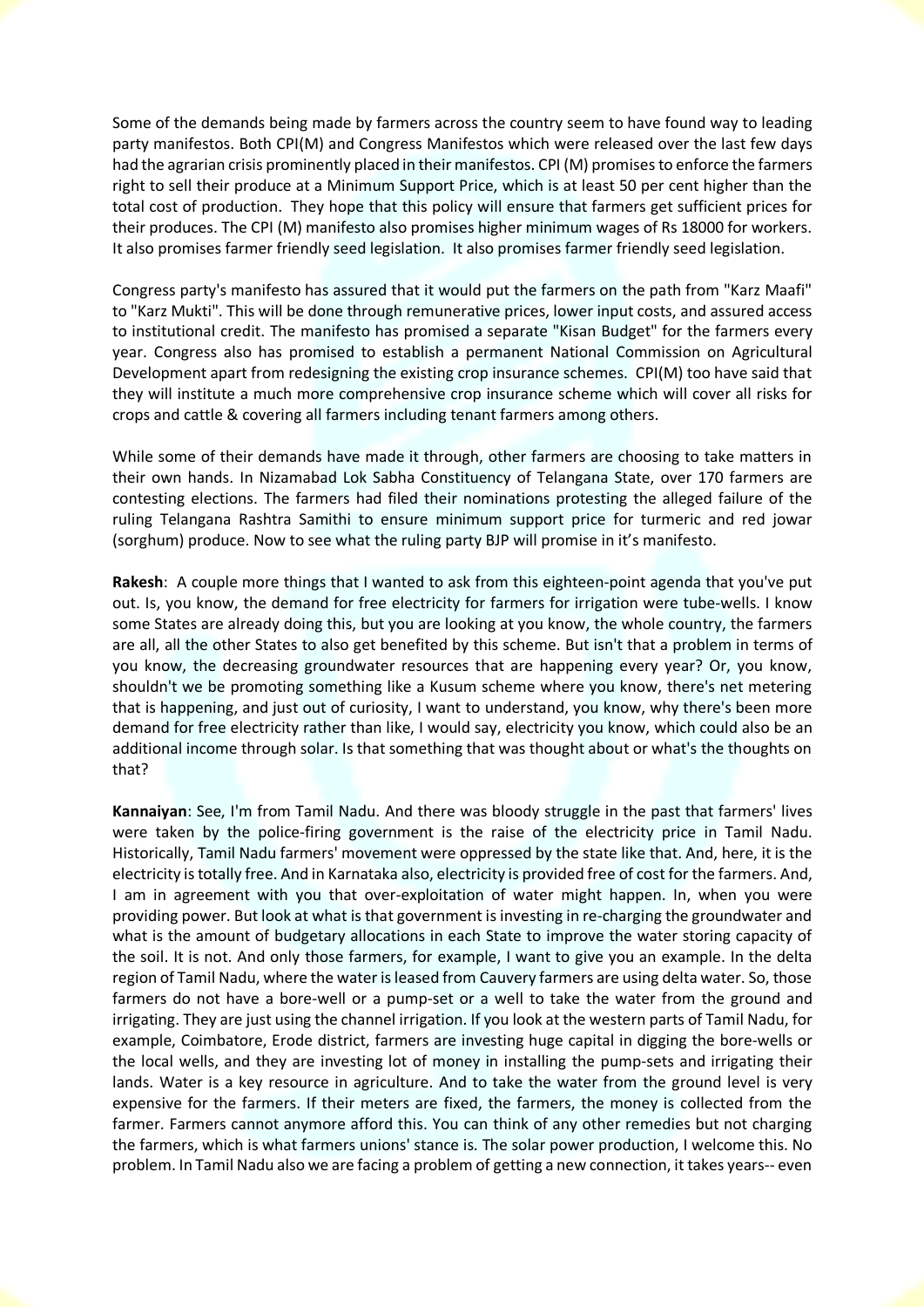Some of the demands being made by farmers across the country seem to have found way to leading party manifestos. Both CPI(M) and Congress Manifestos which were released over the last few days had the agrarian crisis prominently placed in their manifestos. CPI (M) promises to enforce the farmers right to sell their produce at a Minimum Support Price, which is at least 50 per cent higher than the total cost of production. They hope that this policy will ensure that farmers get sufficient prices for their produces. The CPI (M) manifesto also promises higher minimum wages of Rs 18000 for workers. It also promises farmer friendly seed legislation. It also promises farmer friendly seed legislation.

Congress party's manifesto has assured that it would put the farmers on the path from "Karz Maafi" to "Karz Mukti". This will be done through remunerative prices, lower input costs, and assured access to institutional credit. The manifesto has promised a separate "Kisan Budget" for the farmers every year. Congress also has promised to establish a permanent National Commission on Agricultural Development apart from redesigning the existing crop insurance schemes. CPI(M) too have said that they will institute a much more comprehensive crop insurance scheme which will cover all risks for crops and cattle & covering all farmers including tenant farmers among others.

While some of their demands have made it through, other farmers are choosing to take matters in their own hands. In Nizamabad Lok Sabha Constituency of Telangana State, over 170 farmers are contesting elections. The farmers had filed their nominations protesting the alleged failure of the ruling Telangana Rashtra Samithi to ensure minimum support price for turmeric and red jowar (sorghum) produce. Now to see what the ruling party BJP will promise in it's manifesto.

**Rakesh**: A couple more things that I wanted to ask from this eighteen-point agenda that you've put out. Is, you know, the demand for free electricity for farmers for irrigation were tube-wells. I know some States are already doing this, but you are looking at you know, the whole country, the farmers are all, all the other States to also get benefited by this scheme. But isn't that a problem in terms of you know, the decreasing groundwater resources that are happening every year? Or, you know, shouldn't we be promoting something like a Kusum scheme where you know, there's net metering that is happening, and just out of curiosity, I want to understand, you know, why there's been more demand for free electricity rather than like, I would say, electricity you know, which could also be an additional income through solar. Is that something that was thought about or what's the thoughts on that?

**Kannaiyan**: See, I'm from Tamil Nadu. And there was bloody struggle in the past that farmers' lives were taken by the police-firing government is the raise of the electricity price in Tamil Nadu. Historically, Tamil Nadu farmers' movement were oppressed by the state like that. And, here, it is the electricity is totally free. And in Karnataka also, electricity is provided free of cost for the farmers. And, I am in agreement with you that over-exploitation of water might happen. In, when you were providing power. But look at what is that government is investing in re-charging the groundwater and what is the amount of budgetary allocations in each State to improve the water storing capacity of the soil. It is not. And only those farmers, for example, I want to give you an example. In the delta region of Tamil Nadu, where the water is leased from Cauvery farmers are using delta water. So, those farmers do not have a bore-well or a pump-set or a well to take the water from the ground and irrigating. They are just using the channel irrigation. If you look at the western parts of Tamil Nadu, for example, Coimbatore, Erode district, farmers are investing huge capital in digging the bore-wells or the local wells, and they are investing lot of money in installing the pump-sets and irrigating their lands. Water is a key resource in agriculture. And to take the water from the ground level is very expensive for the farmers. If their meters are fixed, the farmers, the money is collected from the farmer. Farmers cannot anymore afford this. You can think of any other remedies but not charging the farmers, which is what farmers unions' stance is. The solar power production, I welcome this. No problem. In Tamil Nadu also we are facing a problem of getting a new connection, it takes years-- even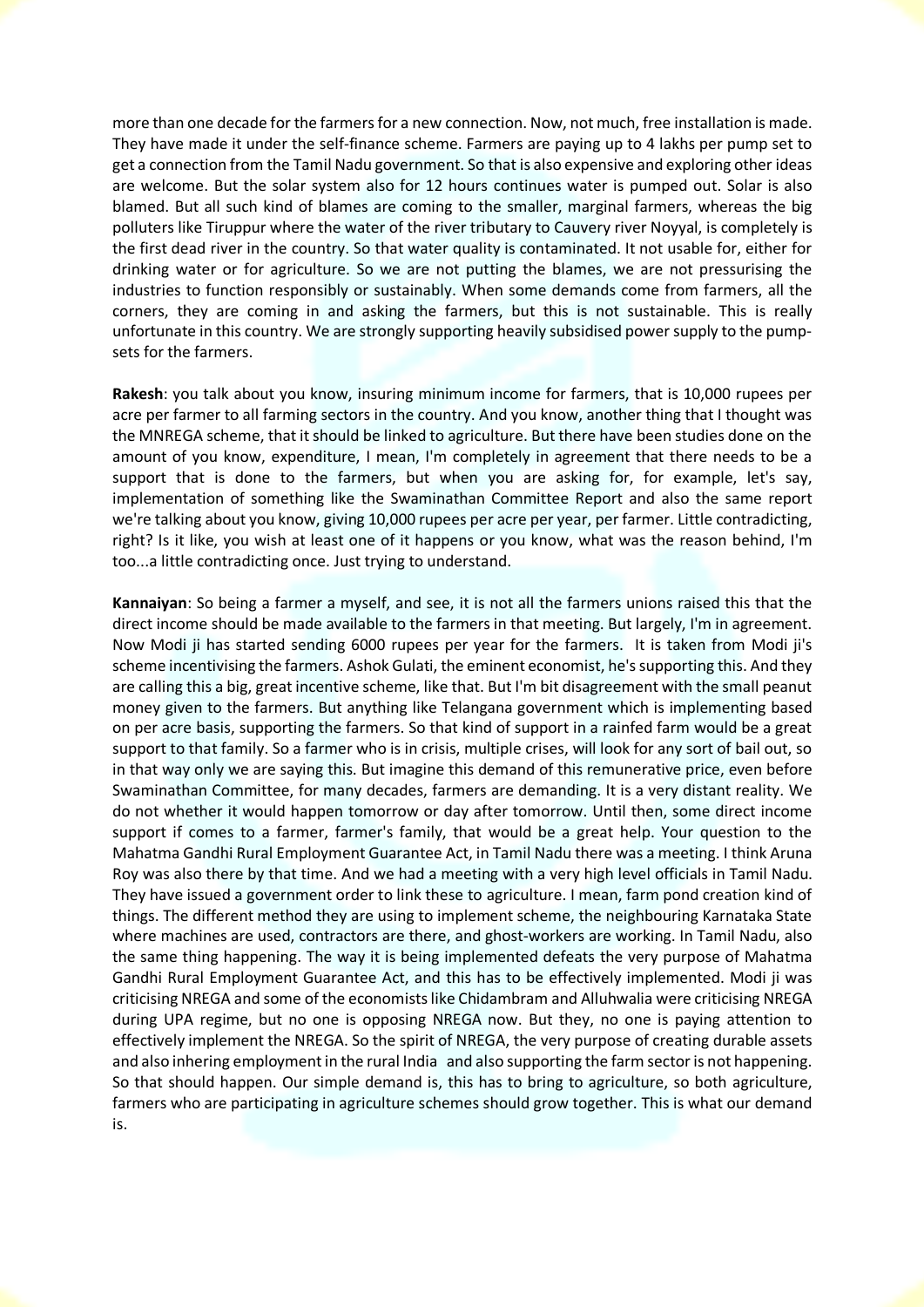more than one decade for the farmers for a new connection. Now, not much, free installation is made. They have made it under the self-finance scheme. Farmers are paying up to 4 lakhs per pump set to get a connection from the Tamil Nadu government. So that is also expensive and exploring other ideas are welcome. But the solar system also for 12 hours continues water is pumped out. Solar is also blamed. But all such kind of blames are coming to the smaller, marginal farmers, whereas the big polluters like Tiruppur where the water of the river tributary to Cauvery river Noyyal, is completely is the first dead river in the country. So that water quality is contaminated. It not usable for, either for drinking water or for agriculture. So we are not putting the blames, we are not pressurising the industries to function responsibly or sustainably. When some demands come from farmers, all the corners, they are coming in and asking the farmers, but this is not sustainable. This is really unfortunate in this country. We are strongly supporting heavily subsidised power supply to the pumpsets for the farmers.

**Rakesh**: you talk about you know, insuring minimum income for farmers, that is 10,000 rupees per acre per farmer to all farming sectors in the country. And you know, another thing that I thought was the MNREGA scheme, that it should be linked to agriculture. But there have been studies done on the amount of you know, expenditure, I mean, I'm completely in agreement that there needs to be a support that is done to the farmers, but when you are asking for, for example, let's say, implementation of something like the Swaminathan Committee Report and also the same report we're talking about you know, giving 10,000 rupees per acre per year, per farmer. Little contradicting, right? Is it like, you wish at least one of it happens or you know, what was the reason behind, I'm too...a little contradicting once. Just trying to understand.

**Kannaiyan**: So being a farmer a myself, and see, it is not all the farmers unions raised this that the direct income should be made available to the farmers in that meeting. But largely, I'm in agreement. Now Modi ji has started sending 6000 rupees per year for the farmers. It is taken from Modi ji's scheme incentivising the farmers. Ashok Gulati, the eminent economist, he's supporting this. And they are calling this a big, great incentive scheme, like that. But I'm bit disagreement with the small peanut money given to the farmers. But anything like Telangana government which is implementing based on per acre basis, supporting the farmers. So that kind of support in a rainfed farm would be a great support to that family. So a farmer who is in crisis, multiple crises, will look for any sort of bail out, so in that way only we are saying this. But imagine this demand of this remunerative price, even before Swaminathan Committee, for many decades, farmers are demanding. It is a very distant reality. We do not whether it would happen tomorrow or day after tomorrow. Until then, some direct income support if comes to a farmer, farmer's family, that would be a great help. Your question to the Mahatma Gandhi Rural Employment Guarantee Act, in Tamil Nadu there was a meeting. I think Aruna Roy was also there by that time. And we had a meeting with a very high level officials in Tamil Nadu. They have issued a government order to link these to agriculture. I mean, farm pond creation kind of things. The different method they are using to implement scheme, the neighbouring Karnataka State where machines are used, contractors are there, and ghost-workers are working. In Tamil Nadu, also the same thing happening. The way it is being implemented defeats the very purpose of Mahatma Gandhi Rural Employment Guarantee Act, and this has to be effectively implemented. Modi ji was criticising NREGA and some of the economists like Chidambram and Alluhwalia were criticising NREGA during UPA regime, but no one is opposing NREGA now. But they, no one is paying attention to effectively implement the NREGA. So the spirit of NREGA, the very purpose of creating durable assets and also inhering employment in the rural India and also supporting the farm sector is not happening. So that should happen. Our simple demand is, this has to bring to agriculture, so both agriculture, farmers who are participating in agriculture schemes should grow together. This is what our demand is.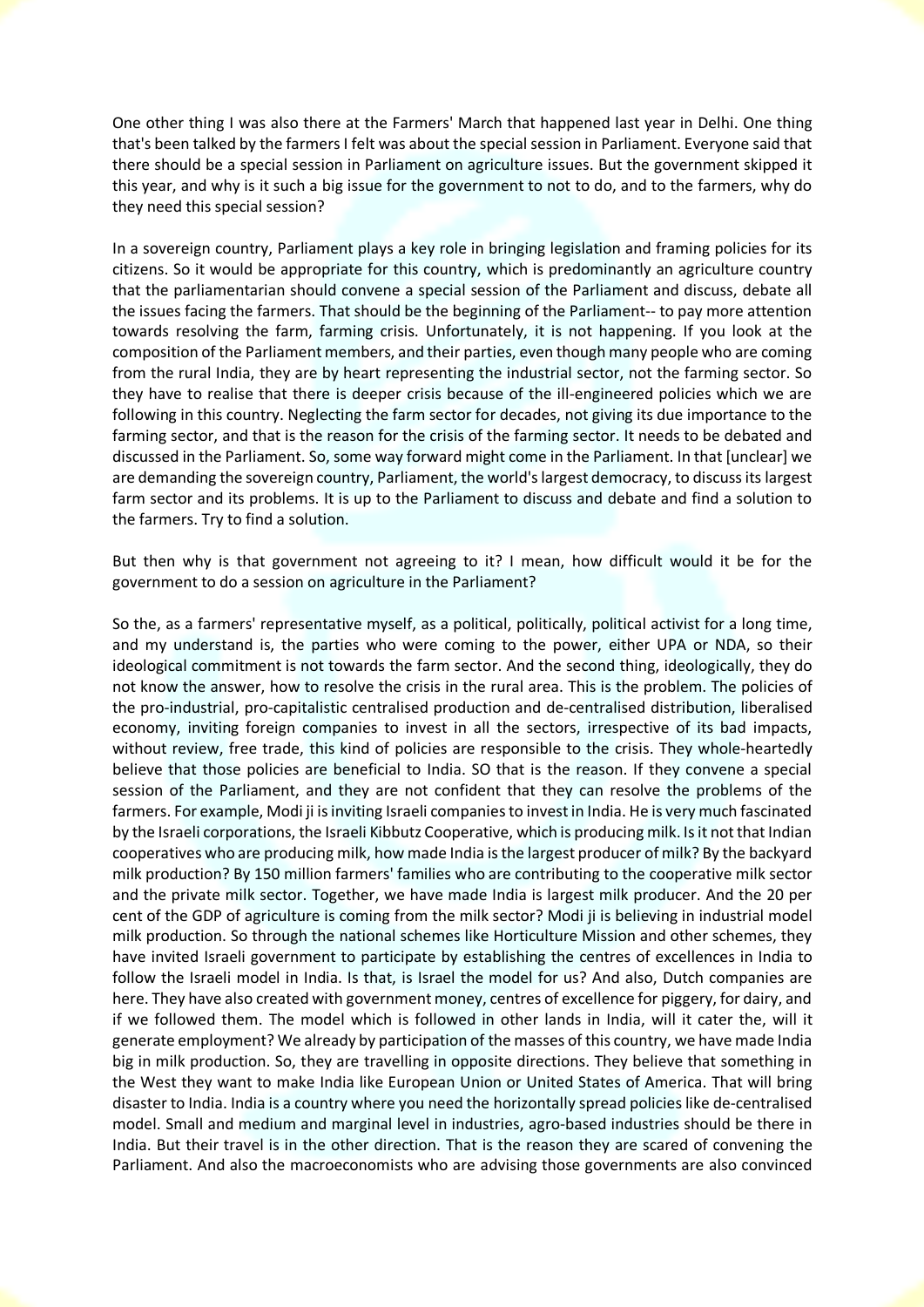One other thing I was also there at the Farmers' March that happened last year in Delhi. One thing that's been talked by the farmers I felt was about the special session in Parliament. Everyone said that there should be a special session in Parliament on agriculture issues. But the government skipped it this year, and why is it such a big issue for the government to not to do, and to the farmers, why do they need this special session?

In a sovereign country, Parliament plays a key role in bringing legislation and framing policies for its citizens. So it would be appropriate for this country, which is predominantly an agriculture country that the parliamentarian should convene a special session of the Parliament and discuss, debate all the issues facing the farmers. That should be the beginning of the Parliament-- to pay more attention towards resolving the farm, farming crisis. Unfortunately, it is not happening. If you look at the composition of the Parliament members, and their parties, even though many people who are coming from the rural India, they are by heart representing the industrial sector, not the farming sector. So they have to realise that there is deeper crisis because of the ill-engineered policies which we are following in this country. Neglecting the farm sector for decades, not giving its due importance to the farming sector, and that is the reason for the crisis of the farming sector. It needs to be debated and discussed in the Parliament. So, some way forward might come in the Parliament. In that [unclear] we are demanding the sovereign country, Parliament, the world's largest democracy, to discuss its largest farm sector and its problems. It is up to the Parliament to discuss and debate and find a solution to the farmers. Try to find a solution.

But then why is that government not agreeing to it? I mean, how difficult would it be for the government to do a session on agriculture in the Parliament?

So the, as a farmers' representative myself, as a political, politically, political activist for a long time, and my understand is, the parties who were coming to the power, either UPA or NDA, so their ideological commitment is not towards the farm sector. And the second thing, ideologically, they do not know the answer, how to resolve the crisis in the rural area. This is the problem. The policies of the pro-industrial, pro-capitalistic centralised production and de-centralised distribution, liberalised economy, inviting foreign companies to invest in all the sectors, irrespective of its bad impacts, without review, free trade, this kind of policies are responsible to the crisis. They whole-heartedly believe that those policies are beneficial to India. SO that is the reason. If they convene a special session of the Parliament, and they are not confident that they can resolve the problems of the farmers. For example, Modi ji is inviting Israeli companies to invest in India. He is very much fascinated by the Israeli corporations, the Israeli Kibbutz Cooperative, which is producing milk. Is it not that Indian cooperatives who are producing milk, how made India is the largest producer of milk? By the backyard milk production? By 150 million farmers' families who are contributing to the cooperative milk sector and the private milk sector. Together, we have made India is largest milk producer. And the 20 per cent of the GDP of agriculture is coming from the milk sector? Modi ji is believing in industrial model milk production. So through the national schemes like Horticulture Mission and other schemes, they have invited Israeli government to participate by establishing the centres of excellences in India to follow the Israeli model in India. Is that, is Israel the model for us? And also, Dutch companies are here. They have also created with government money, centres of excellence for piggery, for dairy, and if we followed them. The model which is followed in other lands in India, will it cater the, will it generate employment? We already by participation of the masses of this country, we have made India big in milk production. So, they are travelling in opposite directions. They believe that something in the West they want to make India like European Union or United States of America. That will bring disaster to India. India is a country where you need the horizontally spread policies like de-centralised model. Small and medium and marginal level in industries, agro-based industries should be there in India. But their travel is in the other direction. That is the reason they are scared of convening the Parliament. And also the macroeconomists who are advising those governments are also convinced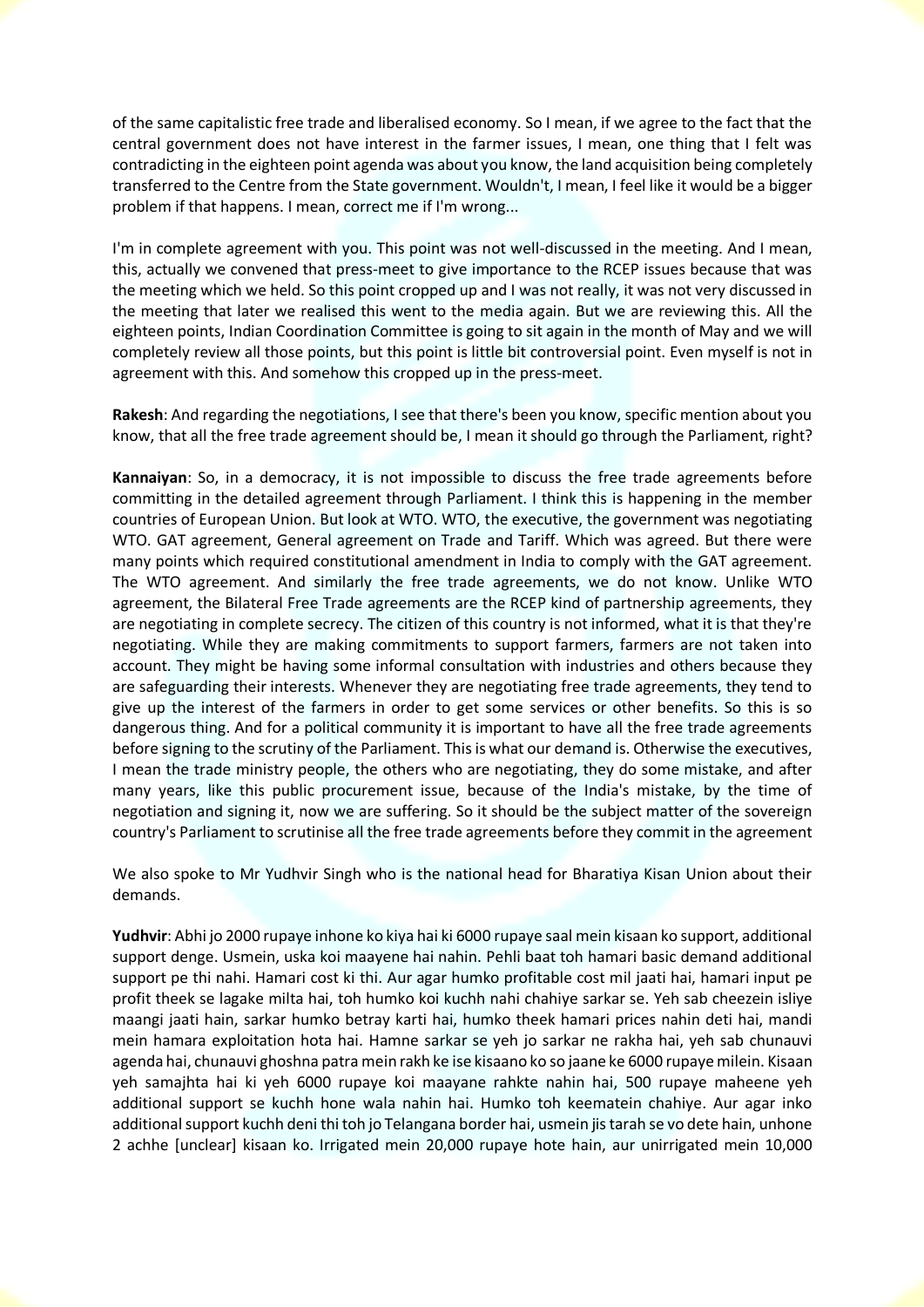of the same capitalistic free trade and liberalised economy. So I mean, if we agree to the fact that the central government does not have interest in the farmer issues, I mean, one thing that I felt was contradicting in the eighteen point agenda was about you know, the land acquisition being completely transferred to the Centre from the State government. Wouldn't, I mean, I feel like it would be a bigger problem if that happens. I mean, correct me if I'm wrong...

I'm in complete agreement with you. This point was not well-discussed in the meeting. And I mean, this, actually we convened that press-meet to give importance to the RCEP issues because that was the meeting which we held. So this point cropped up and I was not really, it was not very discussed in the meeting that later we realised this went to the media again. But we are reviewing this. All the eighteen points, Indian Coordination Committee is going to sit again in the month of May and we will completely review all those points, but this point is little bit controversial point. Even myself is not in agreement with this. And somehow this cropped up in the press-meet.

**Rakesh**: And regarding the negotiations, I see that there's been you know, specific mention about you know, that all the free trade agreement should be, I mean it should go through the Parliament, right?

**Kannaiyan**: So, in a democracy, it is not impossible to discuss the free trade agreements before committing in the detailed agreement through Parliament. I think this is happening in the member countries of European Union. But look at WTO. WTO, the executive, the government was negotiating WTO. GAT agreement, General agreement on Trade and Tariff. Which was agreed. But there were many points which required constitutional amendment in India to comply with the GAT agreement. The WTO agreement. And similarly the free trade agreements, we do not know. Unlike WTO agreement, the Bilateral Free Trade agreements are the RCEP kind of partnership agreements, they are negotiating in complete secrecy. The citizen of this country is not informed, what it is that they're negotiating. While they are making commitments to support farmers, farmers are not taken into account. They might be having some informal consultation with industries and others because they are safeguarding their interests. Whenever they are negotiating free trade agreements, they tend to give up the interest of the farmers in order to get some services or other benefits. So this is so dangerous thing. And for a political community it is important to have all the free trade agreements before signing to the scrutiny of the Parliament. This is what our demand is. Otherwise the executives, I mean the trade ministry people, the others who are negotiating, they do some mistake, and after many years, like this public procurement issue, because of the India's mistake, by the time of negotiation and signing it, now we are suffering. So it should be the subject matter of the sovereign country's Parliament to scrutinise all the free trade agreements before they commit in the agreement

We also spoke to Mr Yudhvir Singh who is the national head for Bharatiya Kisan Union about their demands.

**Yudhvir**: Abhi jo 2000 rupaye inhone ko kiya hai ki 6000 rupaye saal mein kisaan ko support, additional support denge. Usmein, uska koi maayene hai nahin. Pehli baat toh hamari basic demand additional support pe thi nahi. Hamari cost ki thi. Aur agar humko profitable cost mil jaati hai, hamari input pe profit theek se lagake milta hai, toh humko koi kuchh nahi chahiye sarkar se. Yeh sab cheezein isliye maangi jaati hain, sarkar humko betray karti hai, humko theek hamari prices nahin deti hai, mandi mein hamara exploitation hota hai. Hamne sarkar se yeh jo sarkar ne rakha hai, yeh sab chunauvi agenda hai, chunauvi ghoshna patra mein rakh ke ise kisaano ko so jaane ke 6000 rupaye milein. Kisaan yeh samajhta hai ki yeh 6000 rupaye koi maayane rahkte nahin hai, 500 rupaye maheene yeh additional support se kuchh hone wala nahin hai. Humko toh keematein chahiye. Aur agar inko additional support kuchh deni thi toh jo Telangana border hai, usmein jis tarah se vo dete hain, unhone 2 achhe [unclear] kisaan ko. Irrigated mein 20,000 rupaye hote hain, aur unirrigated mein 10,000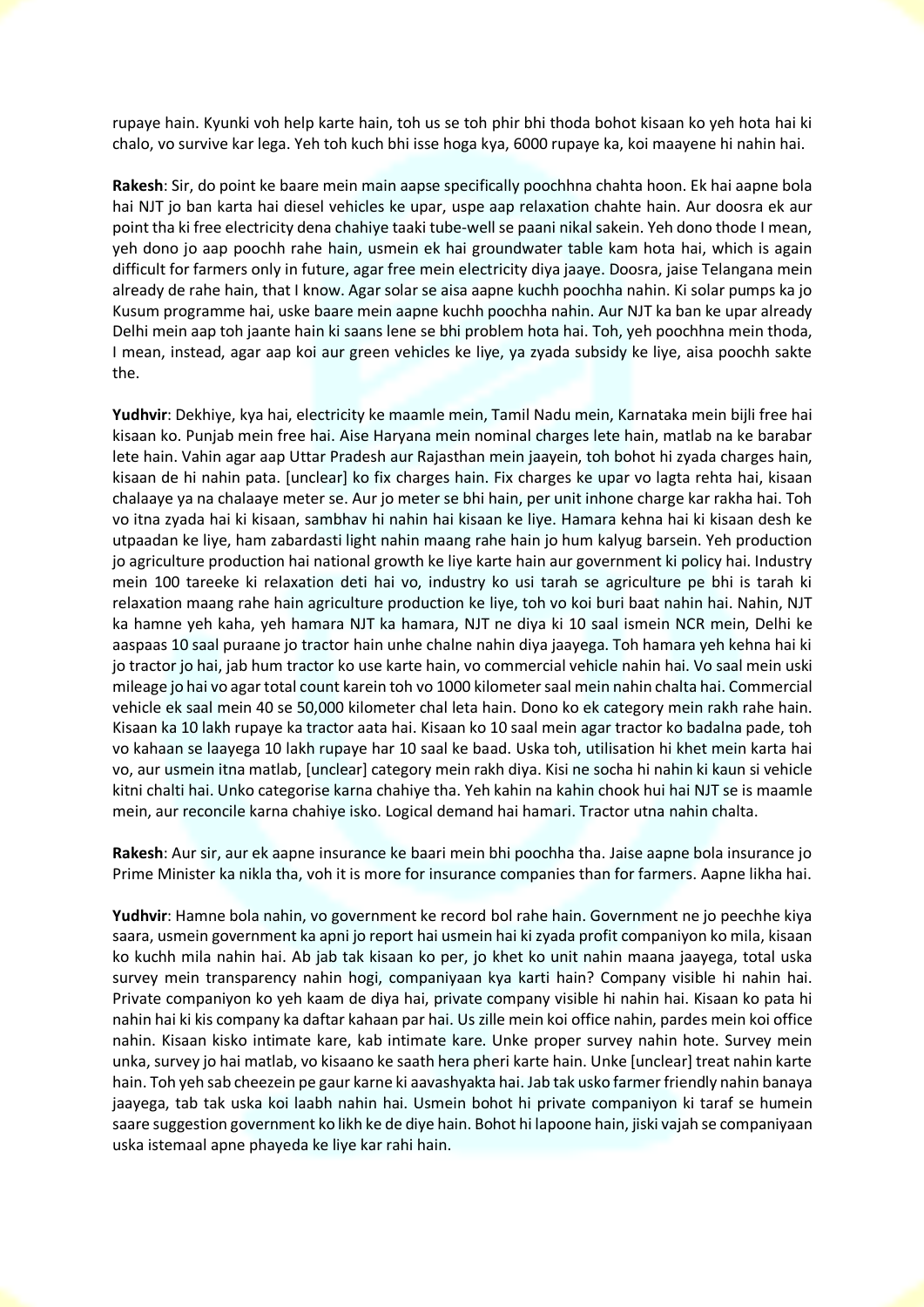rupaye hain. Kyunki voh help karte hain, toh us se toh phir bhi thoda bohot kisaan ko yeh hota hai ki chalo, vo survive kar lega. Yeh toh kuch bhi isse hoga kya, 6000 rupaye ka, koi maayene hi nahin hai.

**Rakesh**: Sir, do point ke baare mein main aapse specifically poochhna chahta hoon. Ek hai aapne bola hai NJT jo ban karta hai diesel vehicles ke upar, uspe aap relaxation chahte hain. Aur doosra ek aur point tha ki free electricity dena chahiye taaki tube-well se paani nikal sakein. Yeh dono thode I mean, yeh dono jo aap poochh rahe hain, usmein ek hai groundwater table kam hota hai, which is again difficult for farmers only in future, agar free mein electricity diya jaaye. Doosra, jaise Telangana mein already de rahe hain, that I know. Agar solar se aisa aapne kuchh poochha nahin. Ki solar pumps ka jo Kusum programme hai, uske baare mein aapne kuchh poochha nahin. Aur NJT ka ban ke upar already Delhi mein aap toh jaante hain ki saans lene se bhi problem hota hai. Toh, yeh poochhna mein thoda, I mean, instead, agar aap koi aur green vehicles ke liye, ya zyada subsidy ke liye, aisa poochh sakte the.

**Yudhvir**: Dekhiye, kya hai, electricity ke maamle mein, Tamil Nadu mein, Karnataka mein bijli free hai kisaan ko. Punjab mein free hai. Aise Haryana mein nominal charges lete hain, matlab na ke barabar lete hain. Vahin agar aap Uttar Pradesh aur Rajasthan mein jaayein, toh bohot hi zyada charges hain, kisaan de hi nahin pata. [unclear] ko fix charges hain. Fix charges ke upar vo lagta rehta hai, kisaan chalaaye ya na chalaaye meter se. Aur jo meter se bhi hain, per unit inhone charge kar rakha hai. Toh vo itna zyada hai ki kisaan, sambhav hi nahin hai kisaan ke liye. Hamara kehna hai ki kisaan desh ke utpaadan ke liye, ham zabardasti light nahin maang rahe hain jo hum kalyug barsein. Yeh production jo agriculture production hai national growth ke liye karte hain aur government ki policy hai. Industry mein 100 tareeke ki relaxation deti hai vo, industry ko usi tarah se agriculture pe bhi is tarah ki relaxation maang rahe hain agriculture production ke liye, toh vo koi buri baat nahin hai. Nahin, NJT ka hamne yeh kaha, yeh hamara NJT ka hamara, NJT ne diya ki 10 saal ismein NCR mein, Delhi ke aaspaas 10 saal puraane jo tractor hain unhe chalne nahin diya jaayega. Toh hamara yeh kehna hai ki jo tractor jo hai, jab hum tractor ko use karte hain, vo commercial vehicle nahin hai. Vo saal mein uski mileage jo hai vo agar total count karein toh vo 1000 kilometer saal mein nahin chalta hai. Commercial vehicle ek saal mein 40 se 50,000 kilometer chal leta hain. Dono ko ek category mein rakh rahe hain. Kisaan ka 10 lakh rupaye ka tractor aata hai. Kisaan ko 10 saal mein agar tractor ko badalna pade, toh vo kahaan se laayega 10 lakh rupaye har 10 saal ke baad. Uska toh, utilisation hi khet mein karta hai vo, aur usmein itna matlab, [unclear] category mein rakh diya. Kisi ne socha hi nahin ki kaun si vehicle kitni chalti hai. Unko categorise karna chahiye tha. Yeh kahin na kahin chook hui hai NJT se is maamle mein, aur reconcile karna chahiye isko. Logical demand hai hamari. Tractor utna nahin chalta.

**Rakesh**: Aur sir, aur ek aapne insurance ke baari mein bhi poochha tha. Jaise aapne bola insurance jo Prime Minister ka nikla tha, voh it is more for insurance companies than for farmers. Aapne likha hai.

**Yudhvir**: Hamne bola nahin, vo government ke record bol rahe hain. Government ne jo peechhe kiya saara, usmein government ka apni jo report hai usmein hai ki zyada profit companiyon ko mila, kisaan ko kuchh mila nahin hai. Ab jab tak kisaan ko per, jo khet ko unit nahin maana jaayega, total uska survey mein transparency nahin hogi, companiyaan kya karti hain? Company visible hi nahin hai. Private companiyon ko yeh kaam de diya hai, private company visible hi nahin hai. Kisaan ko pata hi nahin hai ki kis company ka daftar kahaan par hai. Us zille mein koi office nahin, pardes mein koi office nahin. Kisaan kisko intimate kare, kab intimate kare. Unke proper survey nahin hote. Survey mein unka, survey jo hai matlab, vo kisaano ke saath hera pheri karte hain. Unke [unclear] treat nahin karte hain. Toh yeh sab cheezein pe gaur karne ki aavashyakta hai. Jab tak usko farmer friendly nahin banaya jaayega, tab tak uska koi laabh nahin hai. Usmein bohot hi private companiyon ki taraf se humein saare suggestion government ko likh ke de diye hain. Bohot hi lapoone hain, jiski vajah se companiyaan uska istemaal apne phayeda ke liye kar rahi hain.